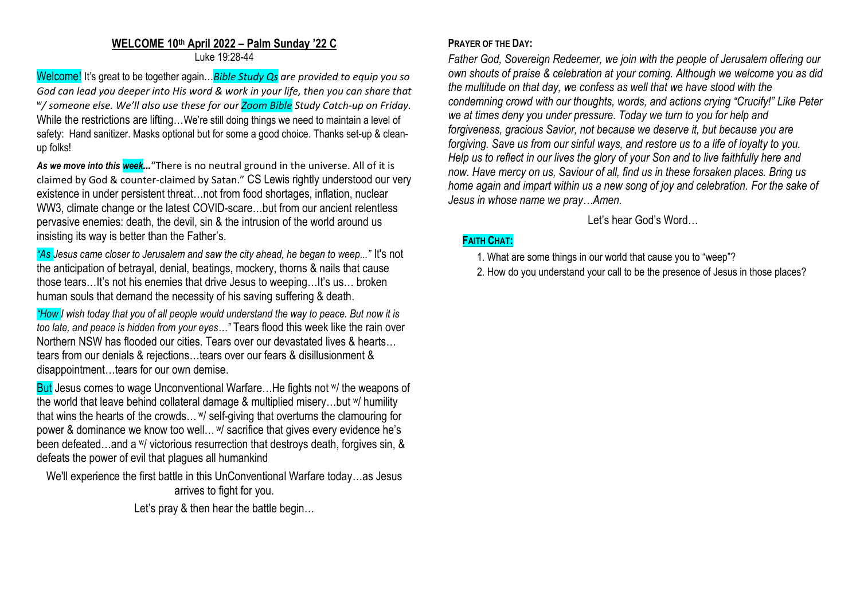#### **WELCOME 10th April 2022 – Palm Sunday '22 C** Luke 19:28-44

Welcome! It's great to be together again…*Bible Study Qs are provided to equip you so God can lead you deeper into His word & work in your life, then you can share that w / someone else. We'll also use these for our Zoom Bible Study Catch-up on Friday.* While the restrictions are lifting…We're still doing things we need to maintain a level of safety: Hand sanitizer. Masks optional but for some a good choice. Thanks set-up & cleanup folks!

*As we move into this week…*"There is no neutral ground in the universe. All of it is claimed by God & counter-claimed by Satan." CS Lewis rightly understood our very existence in under persistent threat…not from food shortages, inflation, nuclear WW3, climate change or the latest COVID-scare...but from our ancient relentless pervasive enemies: death, the devil, sin & the intrusion of the world around us insisting its way is better than the Father's.

*"As Jesus came closer to Jerusalem and saw the city ahead, he began to weep..."* It's not the anticipation of betrayal, denial, beatings, mockery, thorns & nails that cause those tears…It's not his enemies that drive Jesus to weeping…It's us… broken human souls that demand the necessity of his saving suffering & death.

*"How I wish today that you of all people would understand the way to peace. But now it is too late, and peace is hidden from your eyes…"* Tears flood this week like the rain over Northern NSW has flooded our cities. Tears over our devastated lives & hearts… tears from our denials & rejections…tears over our fears & disillusionment & disappointment…tears for our own demise.

But Jesus comes to wage Unconventional Warfare... He fights not w/ the weapons of the world that leave behind collateral damage & multiplied misery…but w/ humility that wins the hearts of the crowds… <sup>w</sup>/ self-giving that overturns the clamouring for power & dominance we know too well… <sup>w</sup>/ sacrifice that gives every evidence he's been defeated…and a w/ victorious resurrection that destroys death, forgives sin, & defeats the power of evil that plagues all humankind

We'll experience the first battle in this UnConventional Warfare today…as Jesus arrives to fight for you.

Let's pray & then hear the battle begin...

### **PRAYER OF THE DAY:**

*Father God, Sovereign Redeemer, we join with the people of Jerusalem offering our own shouts of praise & celebration at your coming. Although we welcome you as did the multitude on that day, we confess as well that we have stood with the condemning crowd with our thoughts, words, and actions crying "Crucify!" Like Peter we at times deny you under pressure. Today we turn to you for help and forgiveness, gracious Savior, not because we deserve it, but because you are forgiving. Save us from our sinful ways, and restore us to a life of loyalty to you. Help us to reflect in our lives the glory of your Son and to live faithfully here and now. Have mercy on us, Saviour of all, find us in these forsaken places. Bring us home again and impart within us a new song of joy and celebration. For the sake of Jesus in whose name we pray…Amen.* 

Let's hear God's Word…

# **FAITH CHAT:**

- 1. What are some things in our world that cause you to "weep"?
- 2. How do you understand your call to be the presence of Jesus in those places?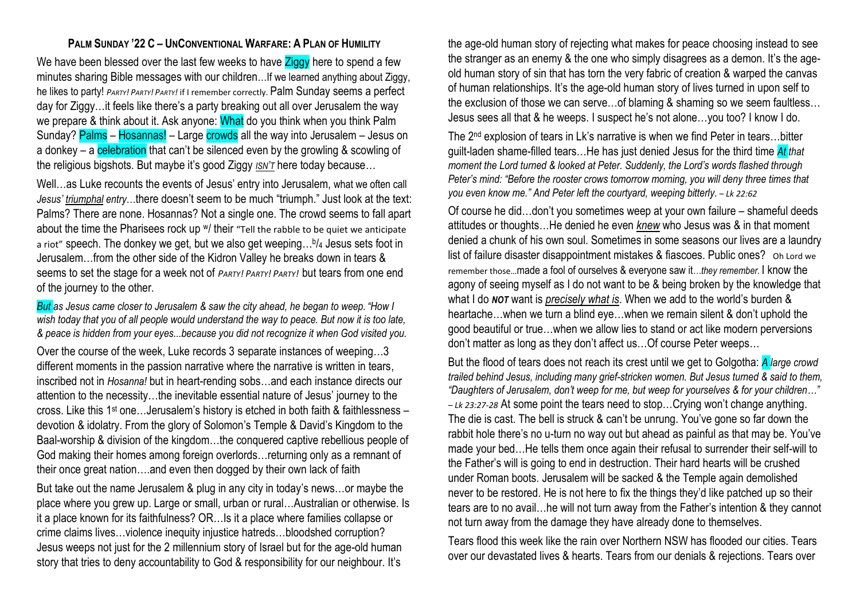## **PALM SUNDAY '22 C – UNCONVENTIONAL WARFARE: A PLAN OF HUMILITY**

We have been blessed over the last few weeks to have Ziggy here to spend a few minutes sharing Bible messages with our children…If we learned anything about Ziggy, he likes to party! *PARTY! PARTY! PARTY!* if I remember correctly. Palm Sunday seems a perfect day for Ziggy…it feels like there's a party breaking out all over Jerusalem the way we prepare & think about it. Ask anyone: What do you think when you think Palm Sunday? Palms – Hosannas! – Large crowds all the way into Jerusalem – Jesus on a donkey – a celebration that can't be silenced even by the growling & scowling of the religious bigshots. But maybe it's good Ziggy *ISN'T* here today because…

Well…as Luke recounts the events of Jesus' entry into Jerusalem, what we often call *Jesus' triumphal entry*…there doesn't seem to be much "triumph." Just look at the text: Palms? There are none. Hosannas? Not a single one. The crowd seems to fall apart about the time the Pharisees rock up W/ their "Tell the rabble to be quiet we anticipate a riot" speech. The donkey we get, but we also get weeping...b/4 Jesus sets foot in Jerusalem…from the other side of the Kidron Valley he breaks down in tears & seems to set the stage for a week not of *PARTY! PARTY! PARTY!* but tears from one end of the journey to the other.

*But as Jesus came closer to Jerusalem & saw the city ahead, he began to weep. "How I wish today that you of all people would understand the way to peace. But now it is too late, & peace is hidden from your eyes...because you did not recognize it when God visited you.*

Over the course of the week, Luke records 3 separate instances of weeping…3 different moments in the passion narrative where the narrative is written in tears, inscribed not in *Hosanna!* but in heart-rending sobs…and each instance directs our attention to the necessity…the inevitable essential nature of Jesus' journey to the cross. Like this 1st one…Jerusalem's history is etched in both faith & faithlessness devotion & idolatry. From the glory of Solomon's Temple & David's Kingdom to the Baal-worship & division of the kingdom…the conquered captive rebellious people of God making their homes among foreign overlords…returning only as a remnant of their once great nation….and even then dogged by their own lack of faith

But take out the name Jerusalem & plug in any city in today's news…or maybe the place where you grew up. Large or small, urban or rural…Australian or otherwise. Is it a place known for its faithfulness? OR…Is it a place where families collapse or crime claims lives…violence inequity injustice hatreds…bloodshed corruption? Jesus weeps not just for the 2 millennium story of Israel but for the age-old human story that tries to deny accountability to God & responsibility for our neighbour. It's

the age-old human story of rejecting what makes for peace choosing instead to see the stranger as an enemy & the one who simply disagrees as a demon. It's the ageold human story of sin that has torn the very fabric of creation & warped the canvas of human relationships. It's the age-old human story of lives turned in upon self to the exclusion of those we can serve…of blaming & shaming so we seem faultless… Jesus sees all that & he weeps. I suspect he's not alone…you too? I know I do.

The 2nd explosion of tears in Lk's narrative is when we find Peter in tears…bitter guilt-laden shame-filled tears…He has just denied Jesus for the third time *At that moment the Lord turned & looked at Peter. Suddenly, the Lord's words flashed through Peter's mind: "Before the rooster crows tomorrow morning, you will deny three times that you even know me." And Peter left the courtyard, weeping bitterly. – Lk 22:62*

Of course he did…don't you sometimes weep at your own failure – shameful deeds attitudes or thoughts…He denied he even *knew* who Jesus was & in that moment denied a chunk of his own soul. Sometimes in some seasons our lives are a laundry list of failure disaster disappointment mistakes & fiascoes. Public ones? Oh Lord we remember those…made a fool of ourselves & everyone saw it*…they remember.* I know the agony of seeing myself as I do not want to be & being broken by the knowledge that what I do *NOT* want is *precisely what is*. When we add to the world's burden & heartache…when we turn a blind eye…when we remain silent & don't uphold the good beautiful or true…when we allow lies to stand or act like modern perversions don't matter as long as they don't affect us…Of course Peter weeps…

But the flood of tears does not reach its crest until we get to Golgotha: *A large crowd trailed behind Jesus, including many grief-stricken women. But Jesus turned & said to them, "Daughters of Jerusalem, don't weep for me, but weep for yourselves & for your children…" – Lk 23:27-28* At some point the tears need to stop…Crying won't change anything. The die is cast. The bell is struck & can't be unrung. You've gone so far down the rabbit hole there's no u-turn no way out but ahead as painful as that may be. You've made your bed…He tells them once again their refusal to surrender their self-will to the Father's will is going to end in destruction. Their hard hearts will be crushed under Roman boots. Jerusalem will be sacked & the Temple again demolished never to be restored. He is not here to fix the things they'd like patched up so their tears are to no avail…he will not turn away from the Father's intention & they cannot not turn away from the damage they have already done to themselves.

Tears flood this week like the rain over Northern NSW has flooded our cities. Tears over our devastated lives & hearts. Tears from our denials & rejections. Tears over